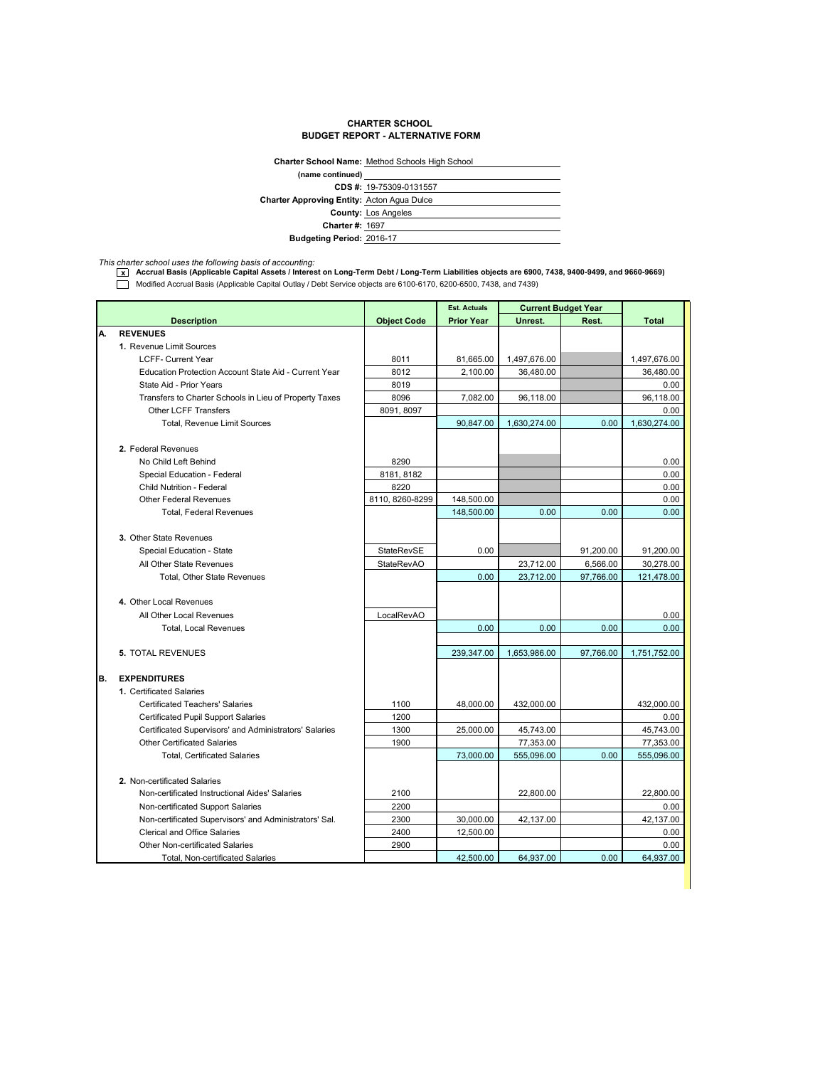## **CHARTER SCHOOL BUDGET REPORT - ALTERNATIVE FORM**

|                                                   | <b>Charter School Name: Method Schools High School</b> |
|---------------------------------------------------|--------------------------------------------------------|
| (name continued)                                  |                                                        |
|                                                   | CDS #: 19-75309-0131557                                |
| <b>Charter Approving Entity: Acton Agua Dulce</b> |                                                        |
|                                                   | <b>County: Los Angeles</b>                             |
| <b>Charter #: 1697</b>                            |                                                        |
| <b>Budgeting Period: 2016-17</b>                  |                                                        |

*This charter school uses the following basis of accounting:* **x Accrual Basis (Applicable Capital Assets / Interest on Long-Term Debt / Long-Term Liabilities objects are 6900, 7438, 9400-9499, and 9660-9669)** Modified Accrual Basis (Applicable Capital Outlay / Debt Service objects are 6100-6170, 6200-6500, 7438, and 7439)

|     |                                                        |                    | <b>Est. Actuals</b> |              | <b>Current Budget Year</b> |              |
|-----|--------------------------------------------------------|--------------------|---------------------|--------------|----------------------------|--------------|
|     | <b>Description</b>                                     | <b>Object Code</b> | <b>Prior Year</b>   | Unrest.      | Rest.                      | <b>Total</b> |
| А.  | <b>REVENUES</b>                                        |                    |                     |              |                            |              |
|     | 1. Revenue Limit Sources                               |                    |                     |              |                            |              |
|     | <b>LCFF- Current Year</b>                              | 8011               | 81,665.00           | 1,497,676.00 |                            | 1,497,676.00 |
|     | Education Protection Account State Aid - Current Year  | 8012               | 2,100.00            | 36,480.00    |                            | 36,480.00    |
|     | State Aid - Prior Years                                | 8019               |                     |              |                            | 0.00         |
|     | Transfers to Charter Schools in Lieu of Property Taxes | 8096               | 7,082.00            | 96,118.00    |                            | 96,118.00    |
|     | <b>Other LCFF Transfers</b>                            | 8091, 8097         |                     |              |                            | 0.00         |
|     | <b>Total, Revenue Limit Sources</b>                    |                    | 90,847.00           | 1,630,274.00 | 0.00                       | 1,630,274.00 |
|     |                                                        |                    |                     |              |                            |              |
|     | 2. Federal Revenues                                    |                    |                     |              |                            |              |
|     | No Child Left Behind                                   | 8290               |                     |              |                            | 0.00         |
|     | Special Education - Federal                            | 8181, 8182         |                     |              |                            | 0.00         |
|     | Child Nutrition - Federal                              | 8220               |                     |              |                            | 0.00         |
|     | <b>Other Federal Revenues</b>                          | 8110, 8260-8299    | 148,500.00          |              |                            | 0.00         |
|     | <b>Total, Federal Revenues</b>                         |                    | 148,500.00          | 0.00         | 0.00                       | 0.00         |
|     |                                                        |                    |                     |              |                            |              |
|     | 3. Other State Revenues                                |                    |                     |              |                            |              |
|     | Special Education - State                              | StateRevSE         | 0.00                |              | 91,200.00                  | 91,200.00    |
|     | All Other State Revenues                               | <b>StateRevAO</b>  |                     | 23,712.00    | 6,566.00                   | 30,278.00    |
|     | Total, Other State Revenues                            |                    | 0.00                | 23,712.00    | 97,766.00                  | 121,478.00   |
|     |                                                        |                    |                     |              |                            |              |
|     | 4. Other Local Revenues                                |                    |                     |              |                            |              |
|     | All Other Local Revenues                               | LocalRevAO         |                     |              |                            | 0.00         |
|     | <b>Total, Local Revenues</b>                           |                    | 0.00                | 0.00         | 0.00                       | 0.00         |
|     |                                                        |                    |                     |              |                            |              |
|     | <b>5. TOTAL REVENUES</b>                               |                    | 239,347.00          | 1,653,986.00 | 97,766.00                  | 1,751,752.00 |
|     |                                                        |                    |                     |              |                            |              |
| IB. | <b>EXPENDITURES</b>                                    |                    |                     |              |                            |              |
|     | 1. Certificated Salaries                               |                    |                     |              |                            |              |
|     | <b>Certificated Teachers' Salaries</b>                 | 1100               | 48,000.00           | 432,000.00   |                            | 432,000.00   |
|     | <b>Certificated Pupil Support Salaries</b>             | 1200               |                     |              |                            | 0.00         |
|     | Certificated Supervisors' and Administrators' Salaries | 1300               | 25,000.00           | 45,743.00    |                            | 45,743.00    |
|     | <b>Other Certificated Salaries</b>                     | 1900               |                     | 77,353.00    |                            | 77,353.00    |
|     | <b>Total, Certificated Salaries</b>                    |                    | 73,000.00           | 555,096.00   | 0.00                       | 555,096.00   |
|     |                                                        |                    |                     |              |                            |              |
|     | 2. Non-certificated Salaries                           |                    |                     |              |                            |              |
|     | Non-certificated Instructional Aides' Salaries         | 2100               |                     | 22,800.00    |                            | 22,800.00    |
|     | Non-certificated Support Salaries                      | 2200               |                     |              |                            | 0.00         |
|     | Non-certificated Supervisors' and Administrators' Sal. | 2300               | 30,000.00           | 42,137.00    |                            | 42,137.00    |
|     | <b>Clerical and Office Salaries</b>                    | 2400               | 12,500.00           |              |                            | 0.00         |
|     | Other Non-certificated Salaries                        | 2900               |                     |              |                            | 0.00         |
|     | Total, Non-certificated Salaries                       |                    | 42,500.00           | 64,937.00    | 0.00                       | 64,937.00    |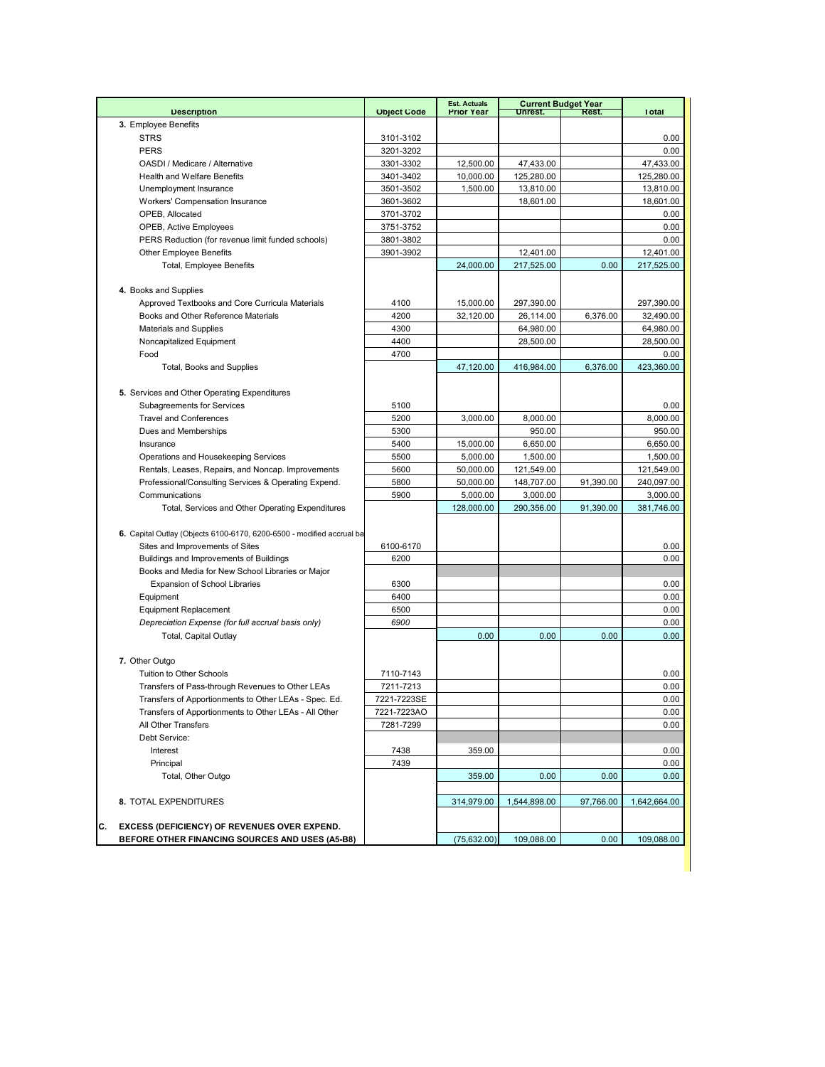|                                                                       |                    | <b>Est. Actuals</b><br><b>Prior Year</b> |              | <b>Current Budget Year</b> |              |
|-----------------------------------------------------------------------|--------------------|------------------------------------------|--------------|----------------------------|--------------|
| <b>Description</b>                                                    | <b>Object Code</b> |                                          | Unrest.      | Rest.                      | <b>Total</b> |
| 3. Employee Benefits                                                  |                    |                                          |              |                            |              |
| <b>STRS</b><br><b>PERS</b>                                            | 3101-3102          |                                          |              |                            | 0.00         |
|                                                                       | 3201-3202          |                                          |              |                            | 0.00         |
| OASDI / Medicare / Alternative                                        | 3301-3302          | 12,500.00                                | 47,433.00    |                            | 47,433.00    |
| <b>Health and Welfare Benefits</b>                                    | 3401-3402          | 10,000.00                                | 125,280.00   |                            | 125,280.00   |
| Unemployment Insurance                                                | 3501-3502          | 1,500.00                                 | 13,810.00    |                            | 13,810.00    |
| Workers' Compensation Insurance                                       | 3601-3602          |                                          | 18,601.00    |                            | 18,601.00    |
| OPEB, Allocated                                                       | 3701-3702          |                                          |              |                            | 0.00         |
| <b>OPEB, Active Employees</b>                                         | 3751-3752          |                                          |              |                            | 0.00         |
| PERS Reduction (for revenue limit funded schools)                     | 3801-3802          |                                          |              |                            | 0.00         |
| <b>Other Employee Benefits</b>                                        | 3901-3902          |                                          | 12,401.00    |                            | 12,401.00    |
| <b>Total, Employee Benefits</b>                                       |                    | 24,000.00                                | 217,525.00   | 0.00                       | 217,525.00   |
|                                                                       |                    |                                          |              |                            |              |
| 4. Books and Supplies                                                 |                    |                                          |              |                            |              |
| Approved Textbooks and Core Curricula Materials                       | 4100               | 15,000.00                                | 297,390.00   |                            | 297,390.00   |
| Books and Other Reference Materials                                   | 4200               | 32,120.00                                | 26,114.00    | 6,376.00                   | 32,490.00    |
| <b>Materials and Supplies</b>                                         | 4300               |                                          | 64,980.00    |                            | 64,980.00    |
| Noncapitalized Equipment                                              | 4400               |                                          | 28,500.00    |                            | 28,500.00    |
| Food                                                                  | 4700               |                                          |              |                            | 0.00         |
| <b>Total, Books and Supplies</b>                                      |                    | 47,120.00                                | 416,984.00   | 6,376.00                   | 423,360.00   |
|                                                                       |                    |                                          |              |                            |              |
| 5. Services and Other Operating Expenditures                          |                    |                                          |              |                            |              |
| <b>Subagreements for Services</b>                                     | 5100               |                                          |              |                            | 0.00         |
| <b>Travel and Conferences</b>                                         | 5200               | 3,000.00                                 | 8,000.00     |                            | 8,000.00     |
| Dues and Memberships                                                  | 5300               |                                          | 950.00       |                            | 950.00       |
| Insurance                                                             | 5400               | 15,000.00                                | 6.650.00     |                            | 6,650.00     |
| Operations and Housekeeping Services                                  | 5500               | 5,000.00                                 | 1,500.00     |                            | 1,500.00     |
| Rentals, Leases, Repairs, and Noncap. Improvements                    | 5600               | 50,000.00                                | 121,549.00   |                            | 121,549.00   |
| Professional/Consulting Services & Operating Expend.                  | 5800               | 50,000.00                                | 148,707.00   | 91,390.00                  | 240,097.00   |
| Communications                                                        | 5900               | 5,000.00                                 | 3,000.00     |                            | 3,000.00     |
| Total, Services and Other Operating Expenditures                      |                    | 128,000.00                               | 290,356.00   | 91,390.00                  | 381,746.00   |
|                                                                       |                    |                                          |              |                            |              |
| 6. Capital Outlay (Objects 6100-6170, 6200-6500 - modified accrual ba |                    |                                          |              |                            |              |
| Sites and Improvements of Sites                                       | 6100-6170          |                                          |              |                            | 0.00         |
| Buildings and Improvements of Buildings                               | 6200               |                                          |              |                            | 0.00         |
| Books and Media for New School Libraries or Major                     |                    |                                          |              |                            |              |
| <b>Expansion of School Libraries</b>                                  | 6300               |                                          |              |                            | 0.00         |
| Equipment                                                             | 6400               |                                          |              |                            | 0.00         |
| <b>Equipment Replacement</b>                                          | 6500               |                                          |              |                            | 0.00         |
| Depreciation Expense (for full accrual basis only)                    | 6900               |                                          |              |                            | 0.00         |
| <b>Total, Capital Outlay</b>                                          |                    | 0.00                                     | 0.00         | 0.00                       | 0.00         |
|                                                                       |                    |                                          |              |                            |              |
| 7. Other Outgo                                                        |                    |                                          |              |                            |              |
| Tuition to Other Schools                                              | 7110-7143          |                                          |              |                            | 0.00         |
| Transfers of Pass-through Revenues to Other LEAs                      | 7211-7213          |                                          |              |                            | 0.00         |
| Transfers of Apportionments to Other LEAs - Spec. Ed.                 | 7221-7223SE        |                                          |              |                            | 0.00         |
| Transfers of Apportionments to Other LEAs - All Other                 | 7221-7223AO        |                                          |              |                            | 0.00         |
| All Other Transfers                                                   | 7281-7299          |                                          |              |                            | 0.00         |
| Debt Service:                                                         |                    |                                          |              |                            |              |
| Interest                                                              | 7438               | 359.00                                   |              |                            | 0.00         |
| Principal                                                             | 7439               |                                          |              |                            | 0.00         |
| Total, Other Outgo                                                    |                    | 359.00                                   | 0.00         | 0.00                       | 0.00         |
|                                                                       |                    |                                          |              |                            |              |
| 8. TOTAL EXPENDITURES                                                 |                    | 314,979.00                               | 1,544,898.00 | 97,766.00                  | 1,642,664.00 |
|                                                                       |                    |                                          |              |                            |              |
| С.<br>EXCESS (DEFICIENCY) OF REVENUES OVER EXPEND.                    |                    |                                          |              |                            |              |
| BEFORE OTHER FINANCING SOURCES AND USES (A5-B8)                       |                    | (75,632.00)                              | 109,088.00   | 0.00                       | 109,088.00   |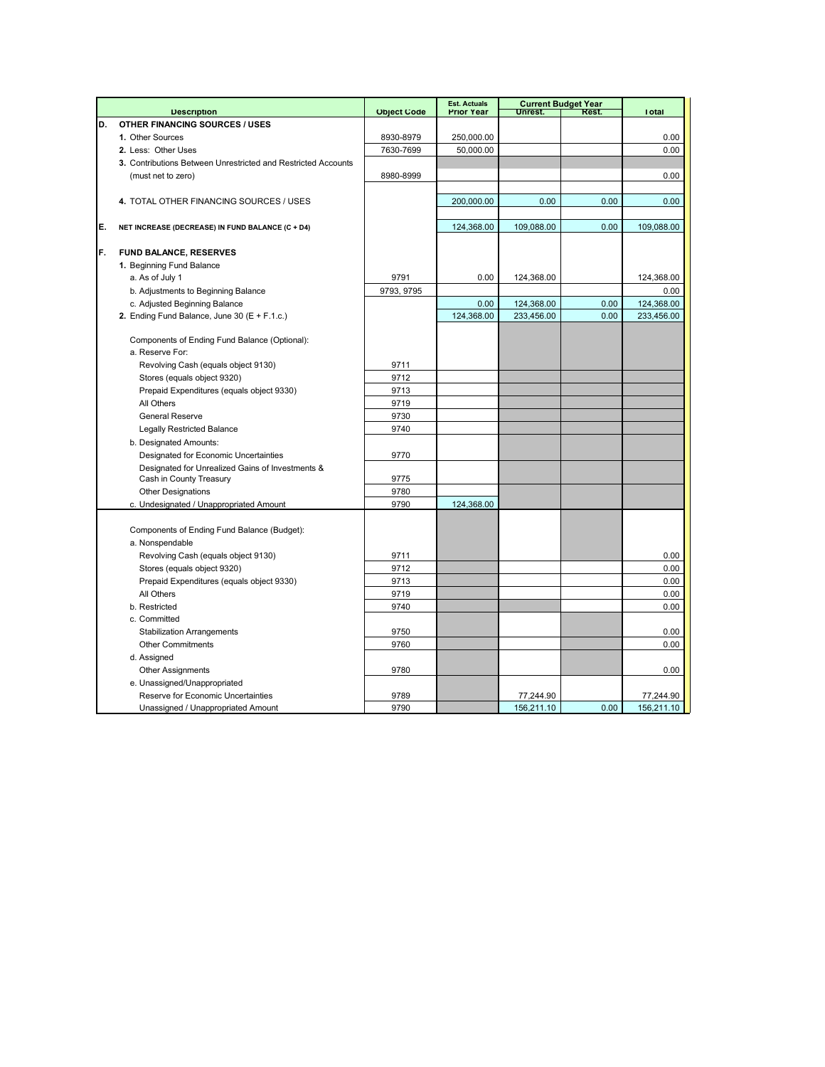|    |                                                               |                    | <b>Est. Actuals</b> |            | <b>Current Budget Year</b> |              |
|----|---------------------------------------------------------------|--------------------|---------------------|------------|----------------------------|--------------|
|    | <b>Description</b>                                            | <b>Object Code</b> | <b>Prior Year</b>   | Unrest.    | Rest.                      | <b>Total</b> |
| D. | <b>OTHER FINANCING SOURCES / USES</b>                         |                    |                     |            |                            |              |
|    | 1. Other Sources                                              | 8930-8979          | 250,000.00          |            |                            | 0.00         |
|    | 2. Less: Other Uses                                           | 7630-7699          | 50,000.00           |            |                            | 0.00         |
|    | 3. Contributions Between Unrestricted and Restricted Accounts |                    |                     |            |                            |              |
|    | (must net to zero)                                            | 8980-8999          |                     |            |                            | 0.00         |
|    |                                                               |                    |                     |            |                            |              |
|    | 4. TOTAL OTHER FINANCING SOURCES / USES                       |                    | 200,000.00          | 0.00       | 0.00                       | 0.00         |
|    |                                                               |                    |                     |            |                            |              |
| E. | NET INCREASE (DECREASE) IN FUND BALANCE (C + D4)              |                    | 124,368.00          | 109,088.00 | 0.00                       | 109,088.00   |
|    |                                                               |                    |                     |            |                            |              |
| F. | <b>FUND BALANCE, RESERVES</b>                                 |                    |                     |            |                            |              |
|    | 1. Beginning Fund Balance                                     |                    |                     |            |                            |              |
|    | a. As of July 1                                               | 9791               | 0.00                | 124,368.00 |                            | 124,368.00   |
|    | b. Adjustments to Beginning Balance                           | 9793, 9795         |                     |            |                            | 0.00         |
|    | c. Adjusted Beginning Balance                                 |                    | 0.00                | 124,368.00 | 0.00                       | 124,368.00   |
|    | 2. Ending Fund Balance, June 30 $(E + F.1.c.)$                |                    | 124,368.00          | 233,456.00 | 0.00                       | 233,456.00   |
|    |                                                               |                    |                     |            |                            |              |
|    | Components of Ending Fund Balance (Optional):                 |                    |                     |            |                            |              |
|    | a. Reserve For:                                               |                    |                     |            |                            |              |
|    | Revolving Cash (equals object 9130)                           | 9711               |                     |            |                            |              |
|    | Stores (equals object 9320)                                   | 9712               |                     |            |                            |              |
|    | Prepaid Expenditures (equals object 9330)                     | 9713               |                     |            |                            |              |
|    | All Others                                                    | 9719               |                     |            |                            |              |
|    | <b>General Reserve</b>                                        | 9730               |                     |            |                            |              |
|    | <b>Legally Restricted Balance</b>                             | 9740               |                     |            |                            |              |
|    | b. Designated Amounts:                                        |                    |                     |            |                            |              |
|    | Designated for Economic Uncertainties                         | 9770               |                     |            |                            |              |
|    | Designated for Unrealized Gains of Investments &              |                    |                     |            |                            |              |
|    | Cash in County Treasury                                       | 9775               |                     |            |                            |              |
|    | <b>Other Designations</b>                                     | 9780               |                     |            |                            |              |
|    | c. Undesignated / Unappropriated Amount                       | 9790               | 124,368.00          |            |                            |              |
|    |                                                               |                    |                     |            |                            |              |
|    | Components of Ending Fund Balance (Budget):                   |                    |                     |            |                            |              |
|    | a. Nonspendable                                               |                    |                     |            |                            |              |
|    | Revolving Cash (equals object 9130)                           | 9711               |                     |            |                            | 0.00         |
|    | Stores (equals object 9320)                                   | 9712               |                     |            |                            | 0.00         |
|    | Prepaid Expenditures (equals object 9330)                     | 9713               |                     |            |                            | 0.00         |
|    | All Others                                                    | 9719               |                     |            |                            | 0.00         |
|    | b. Restricted                                                 | 9740               |                     |            |                            | 0.00         |
|    | c. Committed                                                  |                    |                     |            |                            |              |
|    | <b>Stabilization Arrangements</b>                             | 9750               |                     |            |                            | 0.00         |
|    | <b>Other Commitments</b>                                      | 9760               |                     |            |                            | 0.00         |
|    | d. Assigned                                                   |                    |                     |            |                            |              |
|    | <b>Other Assignments</b>                                      | 9780               |                     |            |                            | 0.00         |
|    | e. Unassigned/Unappropriated                                  |                    |                     |            |                            |              |
|    | Reserve for Economic Uncertainties                            | 9789               |                     | 77,244.90  |                            | 77,244.90    |
|    | Unassigned / Unappropriated Amount                            | 9790               |                     | 156,211.10 | 0.00                       | 156,211.10   |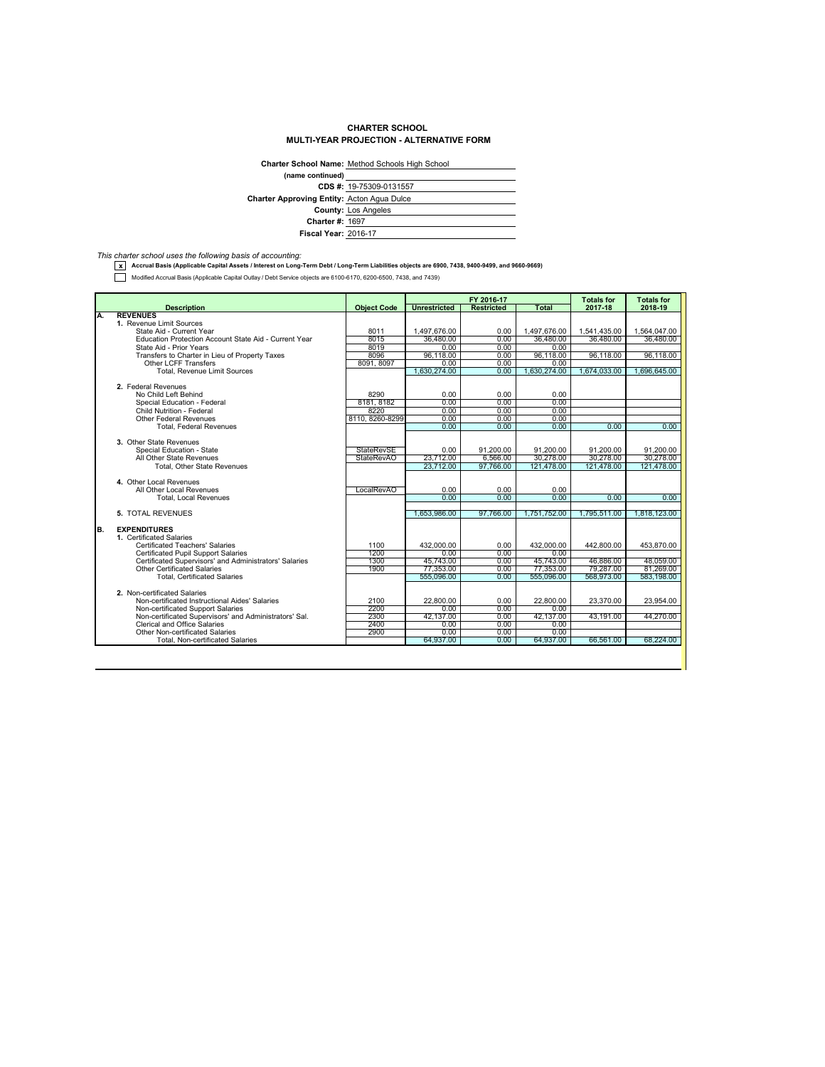## **CHARTER SCHOOL MULTI-YEAR PROJECTION - ALTERNATIVE FORM**

|                                                   | Charter School Name: Method Schools High School |
|---------------------------------------------------|-------------------------------------------------|
| (name continued)                                  |                                                 |
|                                                   | CDS #: 19-75309-0131557                         |
| <b>Charter Approving Entity: Acton Agua Dulce</b> |                                                 |
|                                                   | <b>County: Los Angeles</b>                      |
| <b>Charter #: 1697</b>                            |                                                 |
| <b>Fiscal Year: 2016-17</b>                       |                                                 |

*This charter school uses the following basis of accounting:* **x Accrual Basis (Applicable Capital Assets / Interest on Long-Term Debt / Long-Term Liabilities objects are 6900, 7438, 9400-9499, and 9660-9669)**

Modified Accrual Basis (Applicable Capital Outlay / Debt Service objects are 6100-6170, 6200-6500, 7438, and 7439)

| <b>Description</b><br><b>Object Code</b><br><b>Unrestricted</b><br><b>Restricted</b><br>Total<br>2017-18<br><b>REVENUES</b><br>Α.<br>1. Revenue Limit Sources<br>State Aid - Current Year<br>8011<br>1.497.676.00<br>1.497.676.00<br>1.541.435.00<br>0.00<br>36,480.00<br>36,480.00<br>Education Protection Account State Aid - Current Year<br>8015<br>0.00<br>36.480.00<br>8019<br>0.00<br>0.00<br>0.00<br>State Aid - Prior Years<br>8096<br>96,118.00<br>96.118.00<br>96,118.00<br>Transfers to Charter in Lieu of Property Taxes<br>0.00<br><b>Other LCFF Transfers</b><br>8091, 8097<br>0.00<br>0.00<br>0.00<br>Total, Revenue Limit Sources<br>1,630,274.00<br>0.00<br>1,630,274.00<br>1,674,033.00<br>2. Federal Revenues<br>No Child Left Behind<br>8290<br>0.00<br>0.00<br>0.00<br>0.00<br>8181, 8182<br>0.00<br>0.00<br>Special Education - Federal<br>8220<br>Child Nutrition - Federal<br>0.00<br>0.00<br>0.00<br>8110, 8260-8299<br><b>Other Federal Revenues</b><br>0.00<br>0.00<br>0.00<br>0.00<br>0.00<br>0.00<br>0.00<br><b>Total, Federal Revenues</b><br>3. Other State Revenues<br><b>StateRevSE</b><br>Special Education - State<br>0.00<br>91,200.00<br>91,200.00<br>91.200.00<br>6.566.00<br>StateRevAO<br>23,712.00<br>30.278.00<br>30.278.00<br>All Other State Revenues<br>97.766.00<br><b>Total, Other State Revenues</b><br>23.712.00<br>121.478.00<br>121.478.00<br>4. Other Local Revenues<br>All Other Local Revenues<br>LocalRevAO<br>0.00<br>0.00<br>0.00<br>0.00<br>0.00<br>0.00<br>0.00<br><b>Total, Local Revenues</b><br>97.766.00<br>1.751.752.00<br>1.795.511.00<br>5. TOTAL REVENUES<br>1.653.986.00<br><b>EXPENDITURES</b><br>1. Certificated Salaries<br>Certificated Teachers' Salaries<br>1100<br>432.000.00<br>0.00<br>432.000.00<br>442.800.00<br>1200<br>0.00<br><b>Certificated Pupil Support Salaries</b><br>0.00<br>0.00<br>1300<br>45,743.00<br>45,743.00<br>46,886.00<br>Certificated Supervisors' and Administrators' Salaries<br>0.00<br>1900<br><b>Other Certificated Salaries</b><br>77,353.00<br>0.00<br>77,353.00<br>79,287.00<br>555,096.00<br>555,096.00<br>568,973.00<br><b>Total, Certificated Salaries</b><br>0.00<br>2. Non-certificated Salaries<br>Non-certificated Instructional Aides' Salaries<br>2100<br>22,800.00<br>0.00<br>22,800.00<br>23.370.00<br>2200<br>0.00<br>0.00<br>Non-certificated Support Salaries<br>0.00<br>2300<br>Non-certificated Supervisors' and Administrators' Sal.<br>42.137.00<br>0.00<br>42.137.00<br>43.191.00<br>2400<br>0.00<br><b>Clerical and Office Salaries</b><br>0.00<br>0.00<br>Other Non-certificated Salaries<br>2900<br>0.00<br>0.00<br>0.00<br>64,937.00<br>64,937.00<br>66.561.00<br>0.00 |                                         |  | FY 2016-17 | <b>Totals for</b> | <b>Totals for</b> |
|------------------------------------------------------------------------------------------------------------------------------------------------------------------------------------------------------------------------------------------------------------------------------------------------------------------------------------------------------------------------------------------------------------------------------------------------------------------------------------------------------------------------------------------------------------------------------------------------------------------------------------------------------------------------------------------------------------------------------------------------------------------------------------------------------------------------------------------------------------------------------------------------------------------------------------------------------------------------------------------------------------------------------------------------------------------------------------------------------------------------------------------------------------------------------------------------------------------------------------------------------------------------------------------------------------------------------------------------------------------------------------------------------------------------------------------------------------------------------------------------------------------------------------------------------------------------------------------------------------------------------------------------------------------------------------------------------------------------------------------------------------------------------------------------------------------------------------------------------------------------------------------------------------------------------------------------------------------------------------------------------------------------------------------------------------------------------------------------------------------------------------------------------------------------------------------------------------------------------------------------------------------------------------------------------------------------------------------------------------------------------------------------------------------------------------------------------------------------------------------------------------------------------------------------------------------------------------------------------------------------------------------------------------------------------------------------------------|-----------------------------------------|--|------------|-------------------|-------------------|
| B.                                                                                                                                                                                                                                                                                                                                                                                                                                                                                                                                                                                                                                                                                                                                                                                                                                                                                                                                                                                                                                                                                                                                                                                                                                                                                                                                                                                                                                                                                                                                                                                                                                                                                                                                                                                                                                                                                                                                                                                                                                                                                                                                                                                                                                                                                                                                                                                                                                                                                                                                                                                                                                                                                                         |                                         |  |            |                   | 2018-19           |
|                                                                                                                                                                                                                                                                                                                                                                                                                                                                                                                                                                                                                                                                                                                                                                                                                                                                                                                                                                                                                                                                                                                                                                                                                                                                                                                                                                                                                                                                                                                                                                                                                                                                                                                                                                                                                                                                                                                                                                                                                                                                                                                                                                                                                                                                                                                                                                                                                                                                                                                                                                                                                                                                                                            |                                         |  |            |                   |                   |
|                                                                                                                                                                                                                                                                                                                                                                                                                                                                                                                                                                                                                                                                                                                                                                                                                                                                                                                                                                                                                                                                                                                                                                                                                                                                                                                                                                                                                                                                                                                                                                                                                                                                                                                                                                                                                                                                                                                                                                                                                                                                                                                                                                                                                                                                                                                                                                                                                                                                                                                                                                                                                                                                                                            |                                         |  |            |                   |                   |
|                                                                                                                                                                                                                                                                                                                                                                                                                                                                                                                                                                                                                                                                                                                                                                                                                                                                                                                                                                                                                                                                                                                                                                                                                                                                                                                                                                                                                                                                                                                                                                                                                                                                                                                                                                                                                                                                                                                                                                                                                                                                                                                                                                                                                                                                                                                                                                                                                                                                                                                                                                                                                                                                                                            |                                         |  |            |                   | 1,564,047.00      |
|                                                                                                                                                                                                                                                                                                                                                                                                                                                                                                                                                                                                                                                                                                                                                                                                                                                                                                                                                                                                                                                                                                                                                                                                                                                                                                                                                                                                                                                                                                                                                                                                                                                                                                                                                                                                                                                                                                                                                                                                                                                                                                                                                                                                                                                                                                                                                                                                                                                                                                                                                                                                                                                                                                            |                                         |  |            |                   | 36,480.00         |
|                                                                                                                                                                                                                                                                                                                                                                                                                                                                                                                                                                                                                                                                                                                                                                                                                                                                                                                                                                                                                                                                                                                                                                                                                                                                                                                                                                                                                                                                                                                                                                                                                                                                                                                                                                                                                                                                                                                                                                                                                                                                                                                                                                                                                                                                                                                                                                                                                                                                                                                                                                                                                                                                                                            |                                         |  |            |                   |                   |
|                                                                                                                                                                                                                                                                                                                                                                                                                                                                                                                                                                                                                                                                                                                                                                                                                                                                                                                                                                                                                                                                                                                                                                                                                                                                                                                                                                                                                                                                                                                                                                                                                                                                                                                                                                                                                                                                                                                                                                                                                                                                                                                                                                                                                                                                                                                                                                                                                                                                                                                                                                                                                                                                                                            |                                         |  |            |                   | 96.118.00         |
|                                                                                                                                                                                                                                                                                                                                                                                                                                                                                                                                                                                                                                                                                                                                                                                                                                                                                                                                                                                                                                                                                                                                                                                                                                                                                                                                                                                                                                                                                                                                                                                                                                                                                                                                                                                                                                                                                                                                                                                                                                                                                                                                                                                                                                                                                                                                                                                                                                                                                                                                                                                                                                                                                                            |                                         |  |            |                   |                   |
|                                                                                                                                                                                                                                                                                                                                                                                                                                                                                                                                                                                                                                                                                                                                                                                                                                                                                                                                                                                                                                                                                                                                                                                                                                                                                                                                                                                                                                                                                                                                                                                                                                                                                                                                                                                                                                                                                                                                                                                                                                                                                                                                                                                                                                                                                                                                                                                                                                                                                                                                                                                                                                                                                                            |                                         |  |            |                   | 1,696,645.00      |
|                                                                                                                                                                                                                                                                                                                                                                                                                                                                                                                                                                                                                                                                                                                                                                                                                                                                                                                                                                                                                                                                                                                                                                                                                                                                                                                                                                                                                                                                                                                                                                                                                                                                                                                                                                                                                                                                                                                                                                                                                                                                                                                                                                                                                                                                                                                                                                                                                                                                                                                                                                                                                                                                                                            |                                         |  |            |                   |                   |
|                                                                                                                                                                                                                                                                                                                                                                                                                                                                                                                                                                                                                                                                                                                                                                                                                                                                                                                                                                                                                                                                                                                                                                                                                                                                                                                                                                                                                                                                                                                                                                                                                                                                                                                                                                                                                                                                                                                                                                                                                                                                                                                                                                                                                                                                                                                                                                                                                                                                                                                                                                                                                                                                                                            |                                         |  |            |                   |                   |
|                                                                                                                                                                                                                                                                                                                                                                                                                                                                                                                                                                                                                                                                                                                                                                                                                                                                                                                                                                                                                                                                                                                                                                                                                                                                                                                                                                                                                                                                                                                                                                                                                                                                                                                                                                                                                                                                                                                                                                                                                                                                                                                                                                                                                                                                                                                                                                                                                                                                                                                                                                                                                                                                                                            |                                         |  |            |                   |                   |
|                                                                                                                                                                                                                                                                                                                                                                                                                                                                                                                                                                                                                                                                                                                                                                                                                                                                                                                                                                                                                                                                                                                                                                                                                                                                                                                                                                                                                                                                                                                                                                                                                                                                                                                                                                                                                                                                                                                                                                                                                                                                                                                                                                                                                                                                                                                                                                                                                                                                                                                                                                                                                                                                                                            |                                         |  |            |                   |                   |
|                                                                                                                                                                                                                                                                                                                                                                                                                                                                                                                                                                                                                                                                                                                                                                                                                                                                                                                                                                                                                                                                                                                                                                                                                                                                                                                                                                                                                                                                                                                                                                                                                                                                                                                                                                                                                                                                                                                                                                                                                                                                                                                                                                                                                                                                                                                                                                                                                                                                                                                                                                                                                                                                                                            |                                         |  |            |                   |                   |
|                                                                                                                                                                                                                                                                                                                                                                                                                                                                                                                                                                                                                                                                                                                                                                                                                                                                                                                                                                                                                                                                                                                                                                                                                                                                                                                                                                                                                                                                                                                                                                                                                                                                                                                                                                                                                                                                                                                                                                                                                                                                                                                                                                                                                                                                                                                                                                                                                                                                                                                                                                                                                                                                                                            |                                         |  |            |                   |                   |
|                                                                                                                                                                                                                                                                                                                                                                                                                                                                                                                                                                                                                                                                                                                                                                                                                                                                                                                                                                                                                                                                                                                                                                                                                                                                                                                                                                                                                                                                                                                                                                                                                                                                                                                                                                                                                                                                                                                                                                                                                                                                                                                                                                                                                                                                                                                                                                                                                                                                                                                                                                                                                                                                                                            |                                         |  |            |                   | 0.00              |
|                                                                                                                                                                                                                                                                                                                                                                                                                                                                                                                                                                                                                                                                                                                                                                                                                                                                                                                                                                                                                                                                                                                                                                                                                                                                                                                                                                                                                                                                                                                                                                                                                                                                                                                                                                                                                                                                                                                                                                                                                                                                                                                                                                                                                                                                                                                                                                                                                                                                                                                                                                                                                                                                                                            |                                         |  |            |                   |                   |
|                                                                                                                                                                                                                                                                                                                                                                                                                                                                                                                                                                                                                                                                                                                                                                                                                                                                                                                                                                                                                                                                                                                                                                                                                                                                                                                                                                                                                                                                                                                                                                                                                                                                                                                                                                                                                                                                                                                                                                                                                                                                                                                                                                                                                                                                                                                                                                                                                                                                                                                                                                                                                                                                                                            |                                         |  |            |                   | 91,200.00         |
|                                                                                                                                                                                                                                                                                                                                                                                                                                                                                                                                                                                                                                                                                                                                                                                                                                                                                                                                                                                                                                                                                                                                                                                                                                                                                                                                                                                                                                                                                                                                                                                                                                                                                                                                                                                                                                                                                                                                                                                                                                                                                                                                                                                                                                                                                                                                                                                                                                                                                                                                                                                                                                                                                                            |                                         |  |            |                   | 30,278,00         |
|                                                                                                                                                                                                                                                                                                                                                                                                                                                                                                                                                                                                                                                                                                                                                                                                                                                                                                                                                                                                                                                                                                                                                                                                                                                                                                                                                                                                                                                                                                                                                                                                                                                                                                                                                                                                                                                                                                                                                                                                                                                                                                                                                                                                                                                                                                                                                                                                                                                                                                                                                                                                                                                                                                            |                                         |  |            |                   | 121.478.00        |
|                                                                                                                                                                                                                                                                                                                                                                                                                                                                                                                                                                                                                                                                                                                                                                                                                                                                                                                                                                                                                                                                                                                                                                                                                                                                                                                                                                                                                                                                                                                                                                                                                                                                                                                                                                                                                                                                                                                                                                                                                                                                                                                                                                                                                                                                                                                                                                                                                                                                                                                                                                                                                                                                                                            |                                         |  |            |                   |                   |
|                                                                                                                                                                                                                                                                                                                                                                                                                                                                                                                                                                                                                                                                                                                                                                                                                                                                                                                                                                                                                                                                                                                                                                                                                                                                                                                                                                                                                                                                                                                                                                                                                                                                                                                                                                                                                                                                                                                                                                                                                                                                                                                                                                                                                                                                                                                                                                                                                                                                                                                                                                                                                                                                                                            |                                         |  |            |                   |                   |
|                                                                                                                                                                                                                                                                                                                                                                                                                                                                                                                                                                                                                                                                                                                                                                                                                                                                                                                                                                                                                                                                                                                                                                                                                                                                                                                                                                                                                                                                                                                                                                                                                                                                                                                                                                                                                                                                                                                                                                                                                                                                                                                                                                                                                                                                                                                                                                                                                                                                                                                                                                                                                                                                                                            |                                         |  |            |                   |                   |
|                                                                                                                                                                                                                                                                                                                                                                                                                                                                                                                                                                                                                                                                                                                                                                                                                                                                                                                                                                                                                                                                                                                                                                                                                                                                                                                                                                                                                                                                                                                                                                                                                                                                                                                                                                                                                                                                                                                                                                                                                                                                                                                                                                                                                                                                                                                                                                                                                                                                                                                                                                                                                                                                                                            |                                         |  |            |                   | 0.00              |
|                                                                                                                                                                                                                                                                                                                                                                                                                                                                                                                                                                                                                                                                                                                                                                                                                                                                                                                                                                                                                                                                                                                                                                                                                                                                                                                                                                                                                                                                                                                                                                                                                                                                                                                                                                                                                                                                                                                                                                                                                                                                                                                                                                                                                                                                                                                                                                                                                                                                                                                                                                                                                                                                                                            |                                         |  |            |                   |                   |
|                                                                                                                                                                                                                                                                                                                                                                                                                                                                                                                                                                                                                                                                                                                                                                                                                                                                                                                                                                                                                                                                                                                                                                                                                                                                                                                                                                                                                                                                                                                                                                                                                                                                                                                                                                                                                                                                                                                                                                                                                                                                                                                                                                                                                                                                                                                                                                                                                                                                                                                                                                                                                                                                                                            |                                         |  |            |                   | 1.818.123.00      |
|                                                                                                                                                                                                                                                                                                                                                                                                                                                                                                                                                                                                                                                                                                                                                                                                                                                                                                                                                                                                                                                                                                                                                                                                                                                                                                                                                                                                                                                                                                                                                                                                                                                                                                                                                                                                                                                                                                                                                                                                                                                                                                                                                                                                                                                                                                                                                                                                                                                                                                                                                                                                                                                                                                            |                                         |  |            |                   |                   |
|                                                                                                                                                                                                                                                                                                                                                                                                                                                                                                                                                                                                                                                                                                                                                                                                                                                                                                                                                                                                                                                                                                                                                                                                                                                                                                                                                                                                                                                                                                                                                                                                                                                                                                                                                                                                                                                                                                                                                                                                                                                                                                                                                                                                                                                                                                                                                                                                                                                                                                                                                                                                                                                                                                            |                                         |  |            |                   |                   |
|                                                                                                                                                                                                                                                                                                                                                                                                                                                                                                                                                                                                                                                                                                                                                                                                                                                                                                                                                                                                                                                                                                                                                                                                                                                                                                                                                                                                                                                                                                                                                                                                                                                                                                                                                                                                                                                                                                                                                                                                                                                                                                                                                                                                                                                                                                                                                                                                                                                                                                                                                                                                                                                                                                            |                                         |  |            |                   | 453.870.00        |
|                                                                                                                                                                                                                                                                                                                                                                                                                                                                                                                                                                                                                                                                                                                                                                                                                                                                                                                                                                                                                                                                                                                                                                                                                                                                                                                                                                                                                                                                                                                                                                                                                                                                                                                                                                                                                                                                                                                                                                                                                                                                                                                                                                                                                                                                                                                                                                                                                                                                                                                                                                                                                                                                                                            |                                         |  |            |                   |                   |
|                                                                                                                                                                                                                                                                                                                                                                                                                                                                                                                                                                                                                                                                                                                                                                                                                                                                                                                                                                                                                                                                                                                                                                                                                                                                                                                                                                                                                                                                                                                                                                                                                                                                                                                                                                                                                                                                                                                                                                                                                                                                                                                                                                                                                                                                                                                                                                                                                                                                                                                                                                                                                                                                                                            |                                         |  |            |                   | 48,059.00         |
|                                                                                                                                                                                                                                                                                                                                                                                                                                                                                                                                                                                                                                                                                                                                                                                                                                                                                                                                                                                                                                                                                                                                                                                                                                                                                                                                                                                                                                                                                                                                                                                                                                                                                                                                                                                                                                                                                                                                                                                                                                                                                                                                                                                                                                                                                                                                                                                                                                                                                                                                                                                                                                                                                                            |                                         |  |            |                   | 81,269.00         |
|                                                                                                                                                                                                                                                                                                                                                                                                                                                                                                                                                                                                                                                                                                                                                                                                                                                                                                                                                                                                                                                                                                                                                                                                                                                                                                                                                                                                                                                                                                                                                                                                                                                                                                                                                                                                                                                                                                                                                                                                                                                                                                                                                                                                                                                                                                                                                                                                                                                                                                                                                                                                                                                                                                            |                                         |  |            |                   | 583,198.00        |
|                                                                                                                                                                                                                                                                                                                                                                                                                                                                                                                                                                                                                                                                                                                                                                                                                                                                                                                                                                                                                                                                                                                                                                                                                                                                                                                                                                                                                                                                                                                                                                                                                                                                                                                                                                                                                                                                                                                                                                                                                                                                                                                                                                                                                                                                                                                                                                                                                                                                                                                                                                                                                                                                                                            |                                         |  |            |                   |                   |
|                                                                                                                                                                                                                                                                                                                                                                                                                                                                                                                                                                                                                                                                                                                                                                                                                                                                                                                                                                                                                                                                                                                                                                                                                                                                                                                                                                                                                                                                                                                                                                                                                                                                                                                                                                                                                                                                                                                                                                                                                                                                                                                                                                                                                                                                                                                                                                                                                                                                                                                                                                                                                                                                                                            |                                         |  |            |                   |                   |
|                                                                                                                                                                                                                                                                                                                                                                                                                                                                                                                                                                                                                                                                                                                                                                                                                                                                                                                                                                                                                                                                                                                                                                                                                                                                                                                                                                                                                                                                                                                                                                                                                                                                                                                                                                                                                                                                                                                                                                                                                                                                                                                                                                                                                                                                                                                                                                                                                                                                                                                                                                                                                                                                                                            |                                         |  |            |                   | 23.954.00         |
|                                                                                                                                                                                                                                                                                                                                                                                                                                                                                                                                                                                                                                                                                                                                                                                                                                                                                                                                                                                                                                                                                                                                                                                                                                                                                                                                                                                                                                                                                                                                                                                                                                                                                                                                                                                                                                                                                                                                                                                                                                                                                                                                                                                                                                                                                                                                                                                                                                                                                                                                                                                                                                                                                                            |                                         |  |            |                   |                   |
|                                                                                                                                                                                                                                                                                                                                                                                                                                                                                                                                                                                                                                                                                                                                                                                                                                                                                                                                                                                                                                                                                                                                                                                                                                                                                                                                                                                                                                                                                                                                                                                                                                                                                                                                                                                                                                                                                                                                                                                                                                                                                                                                                                                                                                                                                                                                                                                                                                                                                                                                                                                                                                                                                                            |                                         |  |            |                   | 44.270.00         |
|                                                                                                                                                                                                                                                                                                                                                                                                                                                                                                                                                                                                                                                                                                                                                                                                                                                                                                                                                                                                                                                                                                                                                                                                                                                                                                                                                                                                                                                                                                                                                                                                                                                                                                                                                                                                                                                                                                                                                                                                                                                                                                                                                                                                                                                                                                                                                                                                                                                                                                                                                                                                                                                                                                            |                                         |  |            |                   |                   |
|                                                                                                                                                                                                                                                                                                                                                                                                                                                                                                                                                                                                                                                                                                                                                                                                                                                                                                                                                                                                                                                                                                                                                                                                                                                                                                                                                                                                                                                                                                                                                                                                                                                                                                                                                                                                                                                                                                                                                                                                                                                                                                                                                                                                                                                                                                                                                                                                                                                                                                                                                                                                                                                                                                            |                                         |  |            |                   |                   |
|                                                                                                                                                                                                                                                                                                                                                                                                                                                                                                                                                                                                                                                                                                                                                                                                                                                                                                                                                                                                                                                                                                                                                                                                                                                                                                                                                                                                                                                                                                                                                                                                                                                                                                                                                                                                                                                                                                                                                                                                                                                                                                                                                                                                                                                                                                                                                                                                                                                                                                                                                                                                                                                                                                            | <b>Total, Non-certificated Salaries</b> |  |            |                   | 68.224.00         |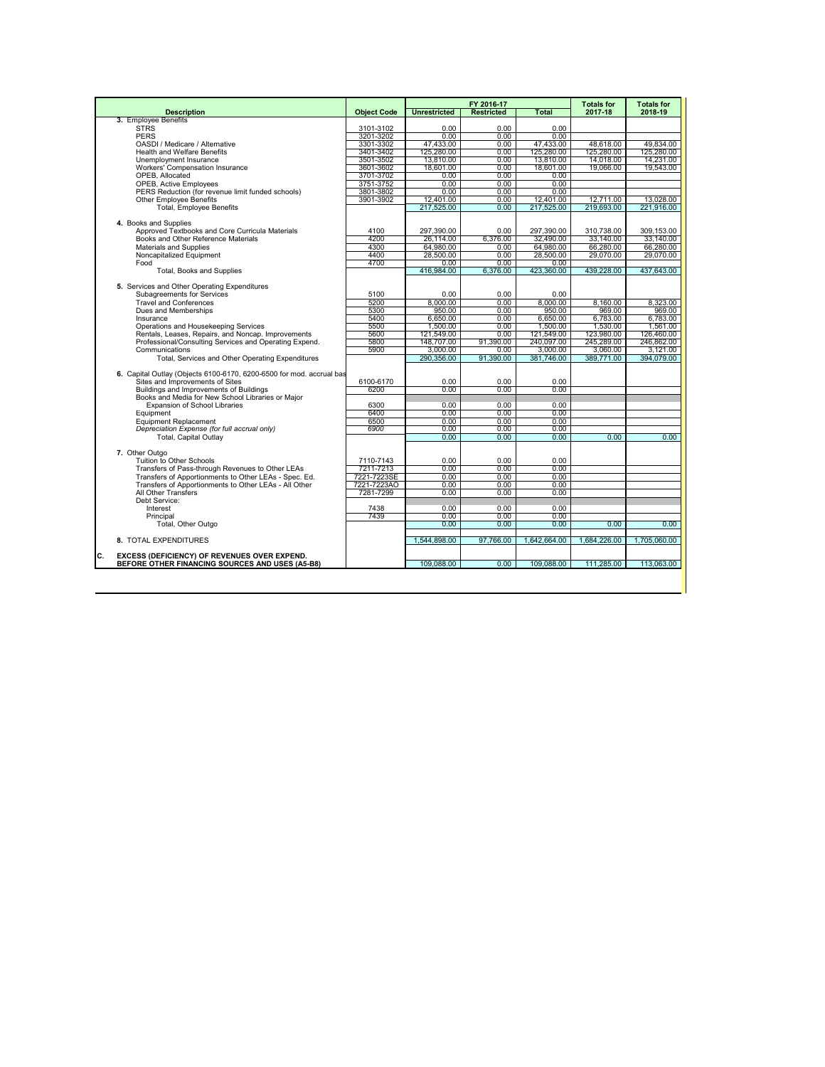|                                                                                                       |                        |                     | FY 2016-17        |              | <b>Totals for</b> | <b>Totals for</b> |
|-------------------------------------------------------------------------------------------------------|------------------------|---------------------|-------------------|--------------|-------------------|-------------------|
| <b>Description</b>                                                                                    | <b>Object Code</b>     | <b>Unrestricted</b> | <b>Restricted</b> | <b>Total</b> | 2017-18           | 2018-19           |
| 3. Employee Benefits                                                                                  |                        |                     |                   |              |                   |                   |
| <b>STRS</b><br><b>PERS</b>                                                                            | 3101-3102<br>3201-3202 | 0.00<br>0.00        | 0.00<br>0.00      | 0.00<br>0.00 |                   |                   |
| OASDI / Medicare / Alternative                                                                        | 3301-3302              | 47.433.00           | 0.00              | 47,433.00    | 48.618.00         | 49.834.00         |
| <b>Health and Welfare Benefits</b>                                                                    | 3401-3402              | 125,280.00          | 0.00              | 125,280.00   | 125,280.00        | 125,280.00        |
| Unemployment Insurance                                                                                | 3501-3502              | 13.810.00           | 0.00              | 13,810.00    | 14.018.00         | 14.231.00         |
| Workers' Compensation Insurance                                                                       | 3601-3602              | 18.601.00           | $0.00 -$          | 18.601.00    | 19.066.00         | 19.543.00         |
| OPEB, Allocated                                                                                       | 3701-3702              | 0.00                | 0.00              | 0.00         |                   |                   |
| <b>OPEB, Active Employees</b>                                                                         | 3751-3752              | 0.00                | 0.00              | 0.00         |                   |                   |
| PERS Reduction (for revenue limit funded schools)                                                     | 3801-3802              | 0.00                | 0.00              | 0.00         |                   |                   |
| Other Employee Benefits                                                                               | 3901-3902              | 12.401.00           | 0.00              | 12.401.00    | 12.711.00         | 13.028.00         |
| <b>Total, Employee Benefits</b>                                                                       |                        | 217.525.00          | 0.00              | 217,525.00   | 219.693.00        | 221,916.00        |
|                                                                                                       |                        |                     |                   |              |                   |                   |
| 4. Books and Supplies                                                                                 |                        |                     |                   |              |                   |                   |
| Approved Textbooks and Core Curricula Materials                                                       | 4100                   | 297.390.00          | 0.00              | 297.390.00   | 310.738.00        | 309.153.00        |
| Books and Other Reference Materials                                                                   | 4200                   | 26,114.00           | 6.376.00          | 32,490.00    | 33.140.00         | 33,140.00         |
| Materials and Supplies                                                                                | 4300                   | 64.980.00           | $0.00 -$          | 64.980.00    | 66,280.00         | 66,280.00         |
| Noncapitalized Equipment                                                                              | 4400                   | 28,500.00           | 0.00              | 28,500.00    | 29,070.00         | 29,070.00         |
| Food                                                                                                  | 4700                   | 0.00                | 0.00              | 0.00         |                   |                   |
| <b>Total, Books and Supplies</b>                                                                      |                        | 416.984.00          | 6.376.00          | 423.360.00   | 439.228.00        | 437.643.00        |
| 5. Services and Other Operating Expenditures                                                          |                        |                     |                   |              |                   |                   |
| Subagreements for Services                                                                            | 5100                   | 0.00                | 0.00              | 0.00         |                   |                   |
| <b>Travel and Conferences</b>                                                                         | 5200                   | 8.000.00            | 0.00              | 8.000.00     | 8.160.00          | 8,323.00          |
| Dues and Memberships                                                                                  | 5300                   | 950.00              | 0.00              | 950.00       | 969.00            | 969.00            |
| Insurance                                                                                             | 5400                   | 6.650.00            | 0.00              | 6.650.00     | 6.783.00          | 6.783.00          |
| Operations and Housekeeping Services                                                                  | 5500                   | 1,500.00            | 0.00              | 1,500.00     | 1,530.00          | 1,561.00          |
| Rentals, Leases, Repairs, and Noncap. Improvements                                                    | 5600                   | 121,549.00          | 0.00              | 121.549.00   | 123,980.00        | 126,460.00        |
| Professional/Consulting Services and Operating Expend.                                                | 5800                   | 148.707.00          | 91.390.00         | 240.097.00   | 245,289.00        | 246,862.00        |
| Communications                                                                                        | 5900                   | 3.000.00            | $0.00 -$          | 3.000.00     | 3.060.00          | 3.121.00          |
| Total, Services and Other Operating Expenditures                                                      |                        | 290.356.00          | 91.390.00         | 381.746.00   | 389,771.00        | 394.079.00        |
|                                                                                                       |                        |                     |                   |              |                   |                   |
| 6. Capital Outlay (Objects 6100-6170, 6200-6500 for mod. accrual bas                                  |                        |                     |                   |              |                   |                   |
| Sites and Improvements of Sites                                                                       | 6100-6170              | 0.00                | 0.00              | 0.00         |                   |                   |
| Buildings and Improvements of Buildings                                                               | 6200                   | 0.00                | 0.00              | 0.00         |                   |                   |
| Books and Media for New School Libraries or Maior                                                     | 6300                   | 0.00                | 0.00              | 0.00         |                   |                   |
| Expansion of School Libraries<br>Equipment                                                            | 6400                   | 0.00                | 0.00              | 0.00         |                   |                   |
| <b>Equipment Replacement</b>                                                                          | 6500                   | 0.00                | 0.00              | 0.00         |                   |                   |
| Depreciation Expense (for full accrual only)                                                          | 6900                   | 0.00                | 0.00              | 0.00         |                   |                   |
| <b>Total, Capital Outlav</b>                                                                          |                        | 0.00                | 0.00              | $0.00 -$     | 0.00              | 0.00              |
|                                                                                                       |                        |                     |                   |              |                   |                   |
| 7. Other Outgo                                                                                        |                        |                     |                   |              |                   |                   |
| Tuition to Other Schools                                                                              | 7110-7143              | 0.00                | 0.00              | 0.00         |                   |                   |
| Transfers of Pass-through Revenues to Other LEAs                                                      | 7211-7213              | 0.00                | 0.00              | 0.00         |                   |                   |
| Transfers of Apportionments to Other LEAs - Spec. Ed.                                                 | 7221-7223SE            | 0.00                | 0.00              | 0.00         |                   |                   |
| Transfers of Apportionments to Other LEAs - All Other                                                 | 7221-7223AO            | 0.00                | 0.00              | 0.00         |                   |                   |
| All Other Transfers                                                                                   | 7281-7299              | 0.00                | 0.00              | 0.00         |                   |                   |
| Debt Service:                                                                                         |                        |                     |                   |              |                   |                   |
| Interest                                                                                              | 7438                   | 0.00                | 0.00              | 0.00         |                   |                   |
| Principal                                                                                             | 7439                   | 0.00                | 0.00              | 0.00         |                   |                   |
| Total, Other Outgo                                                                                    |                        | 0.00                | 0.00              | 0.00         | 0.00              | 0.00              |
| 8. TOTAL EXPENDITURES                                                                                 |                        | 1.544.898.00        | 97.766.00         | 1.642.664.00 | 1.684.226.00      | 1.705.060.00      |
|                                                                                                       |                        |                     |                   |              |                   |                   |
| c.<br>EXCESS (DEFICIENCY) OF REVENUES OVER EXPEND.<br>BEFORE OTHER FINANCING SOURCES AND USES (A5-B8) |                        | 109.088.00          | 0.00              | 109.088.00   | 111.285.00        | 113.063.00        |
|                                                                                                       |                        |                     |                   |              |                   |                   |
|                                                                                                       |                        |                     |                   |              |                   |                   |